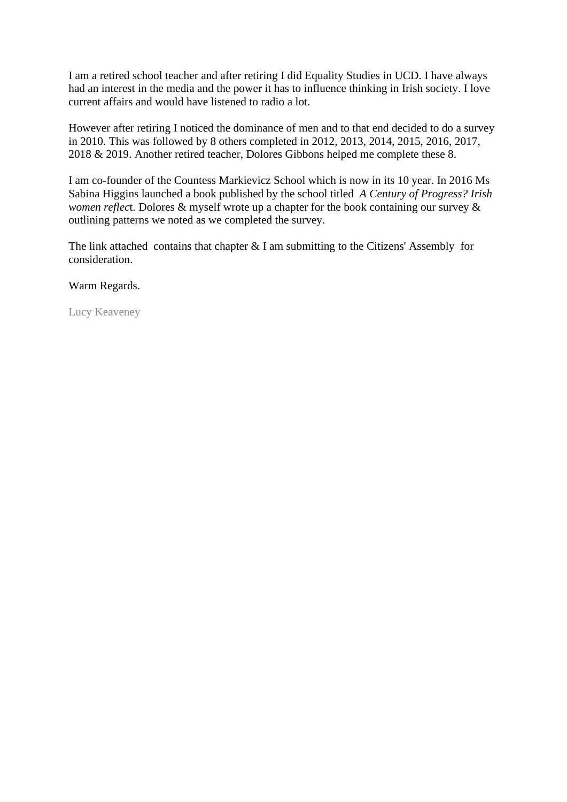I am a retired school teacher and after retiring I did Equality Studies in UCD. I have always had an interest in the media and the power it has to influence thinking in Irish society. I love current affairs and would have listened to radio a lot.

However after retiring I noticed the dominance of men and to that end decided to do a survey in 2010. This was followed by 8 others completed in 2012, 2013, 2014, 2015, 2016, 2017, 2018 & 2019. Another retired teacher, Dolores Gibbons helped me complete these 8.

I am co-founder of the Countess Markievicz School which is now in its 10 year. In 2016 Ms Sabina Higgins launched a book published by the school titled *A Century of Progress? Irish women reflec*t. Dolores & myself wrote up a chapter for the book containing our survey & outlining patterns we noted as we completed the survey.

The link attached contains that chapter  $& I$  am submitting to the Citizens' Assembly for consideration.

Warm Regards.

Lucy Keaveney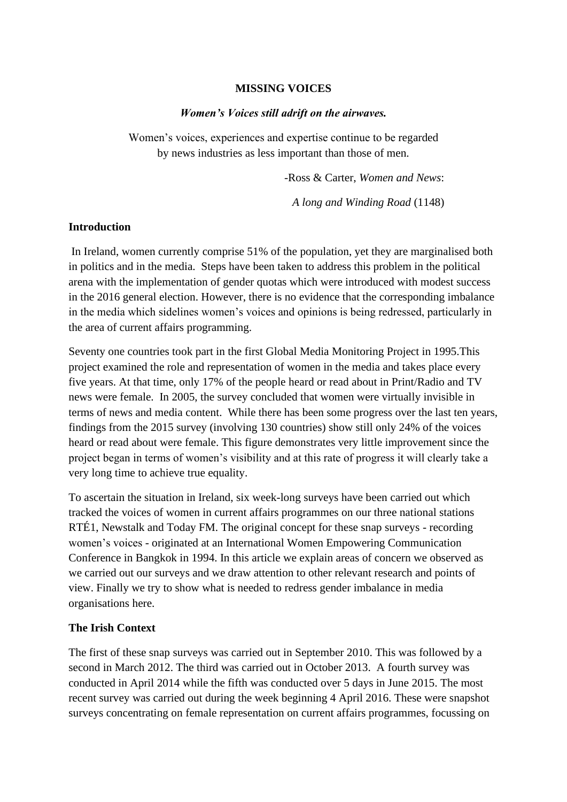#### **MISSING VOICES**

#### *Women's Voices still adrift on the airwaves.*

Women's voices, experiences and expertise continue to be regarded by news industries as less important than those of men.

-Ross & Carter, *Women and News*:

*A long and Winding Road* (1148)

### **Introduction**

In Ireland, women currently comprise 51% of the population, yet they are marginalised both in politics and in the media. Steps have been taken to address this problem in the political arena with the implementation of gender quotas which were introduced with modest success in the 2016 general election. However, there is no evidence that the corresponding imbalance in the media which sidelines women's voices and opinions is being redressed, particularly in the area of current affairs programming.

Seventy one countries took part in the first Global Media Monitoring Project in 1995.This project examined the role and representation of women in the media and takes place every five years. At that time, only 17% of the people heard or read about in Print/Radio and TV news were female. In 2005, the survey concluded that women were virtually invisible in terms of news and media content. While there has been some progress over the last ten years, findings from the 2015 survey (involving 130 countries) show still only 24% of the voices heard or read about were female. This figure demonstrates very little improvement since the project began in terms of women's visibility and at this rate of progress it will clearly take a very long time to achieve true equality.

To ascertain the situation in Ireland, six week-long surveys have been carried out which tracked the voices of women in current affairs programmes on our three national stations RTÉ1, Newstalk and Today FM. The original concept for these snap surveys - recording women's voices - originated at an International Women Empowering Communication Conference in Bangkok in 1994. In this article we explain areas of concern we observed as we carried out our surveys and we draw attention to other relevant research and points of view. Finally we try to show what is needed to redress gender imbalance in media organisations here.

## **The Irish Context**

The first of these snap surveys was carried out in September 2010. This was followed by a second in March 2012. The third was carried out in October 2013. A fourth survey was conducted in April 2014 while the fifth was conducted over 5 days in June 2015. The most recent survey was carried out during the week beginning 4 April 2016. These were snapshot surveys concentrating on female representation on current affairs programmes, focussing on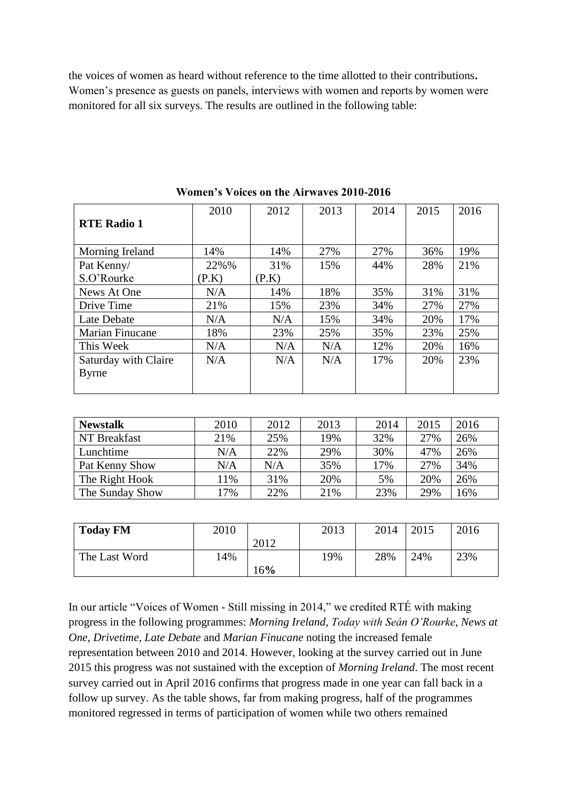the voices of women as heard without reference to the time allotted to their contributions**.** Women's presence as guests on panels, interviews with women and reports by women were monitored for all six surveys. The results are outlined in the following table:

|                        | 2010  | 2012  | 2013 | 2014 | 2015 | 2016 |
|------------------------|-------|-------|------|------|------|------|
| <b>RTE Radio 1</b>     |       |       |      |      |      |      |
|                        |       |       |      |      |      |      |
| Morning Ireland        | 14%   | 14%   | 27%  | 27%  | 36%  | 19%  |
| Pat Kenny/             | 22%%  | 31%   | 15%  | 44%  | 28%  | 21%  |
| S.O'Rourke             | (P.K) | (P.K) |      |      |      |      |
| News At One            | N/A   | 14%   | 18%  | 35%  | 31%  | 31%  |
| Drive Time             | 21%   | 15%   | 23%  | 34%  | 27%  | 27%  |
| Late Debate            | N/A   | N/A   | 15%  | 34%  | 20%  | 17%  |
| <b>Marian Finucane</b> | 18%   | 23%   | 25%  | 35%  | 23%  | 25%  |
| This Week              | N/A   | N/A   | N/A  | 12%  | 20%  | 16%  |
| Saturday with Claire   | N/A   | N/A   | N/A  | 17%  | 20%  | 23%  |
| <b>Byrne</b>           |       |       |      |      |      |      |
|                        |       |       |      |      |      |      |

**Women's Voices on the Airwaves 2010-2016**

| <b>Newstalk</b> | 2010 | 2012 | 2013 | 2014 | 2015 | 2016 |
|-----------------|------|------|------|------|------|------|
| NT Breakfast    | 21%  | 25%  | 19%  | 32%  | 27%  | 26%  |
| Lunchtime       | N/A  | 22%  | 29%  | 30%  | 47%  | 26%  |
| Pat Kenny Show  | N/A  | N/A  | 35%  | 17%  | 27%  | 34%  |
| The Right Hook  | 11%  | 31%  | 20%  | 5%   | 20%  | 26%  |
| The Sunday Show | 17%  | 22%  | 21%  | 23%  | 29%  | 6%   |

| <b>Today FM</b> | 2010 |      | 2013 | 2014 | 2015 | 2016 |
|-----------------|------|------|------|------|------|------|
|                 |      | 2012 |      |      |      |      |
| The Last Word   | 14%  |      | 19%  | 28%  | 24%  | 23%  |
|                 |      | 16%  |      |      |      |      |

In our article "Voices of Women - Still missing in 2014," we credited RTÉ with making progress in the following programmes: *Morning Ireland, Today with Seán O'Rourke*, *News at One*, *Drivetime*, *Late Debate* and *Marian Finucane* noting the increased female representation between 2010 and 2014. However, looking at the survey carried out in June 2015 this progress was not sustained with the exception of *Morning Ireland*. The most recent survey carried out in April 2016 confirms that progress made in one year can fall back in a follow up survey. As the table shows, far from making progress, half of the programmes monitored regressed in terms of participation of women while two others remained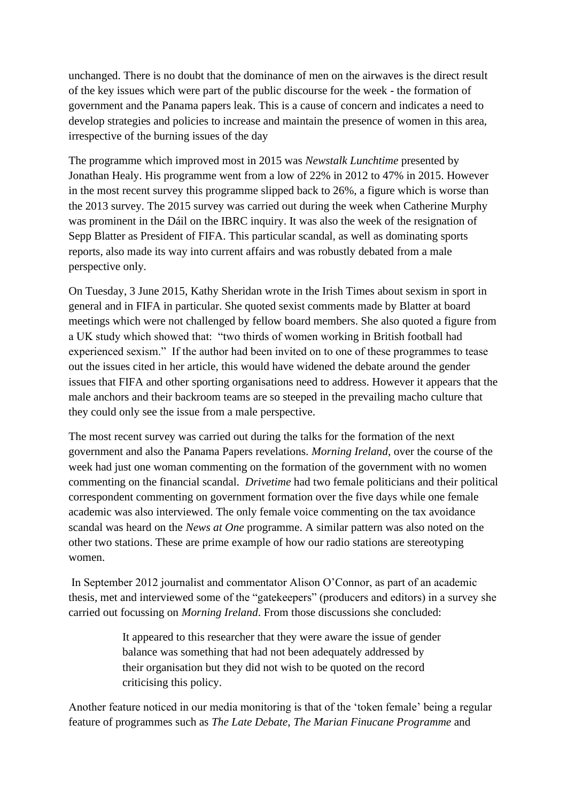unchanged. There is no doubt that the dominance of men on the airwaves is the direct result of the key issues which were part of the public discourse for the week - the formation of government and the Panama papers leak. This is a cause of concern and indicates a need to develop strategies and policies to increase and maintain the presence of women in this area, irrespective of the burning issues of the day

The programme which improved most in 2015 was *Newstalk Lunchtime* presented by Jonathan Healy. His programme went from a low of 22% in 2012 to 47% in 2015. However in the most recent survey this programme slipped back to 26%, a figure which is worse than the 2013 survey. The 2015 survey was carried out during the week when Catherine Murphy was prominent in the Dáil on the IBRC inquiry. It was also the week of the resignation of Sepp Blatter as President of FIFA. This particular scandal, as well as dominating sports reports, also made its way into current affairs and was robustly debated from a male perspective only.

On Tuesday, 3 June 2015, Kathy Sheridan wrote in the Irish Times about sexism in sport in general and in FIFA in particular. She quoted sexist comments made by Blatter at board meetings which were not challenged by fellow board members. She also quoted a figure from a UK study which showed that: "two thirds of women working in British football had experienced sexism." If the author had been invited on to one of these programmes to tease out the issues cited in her article, this would have widened the debate around the gender issues that FIFA and other sporting organisations need to address. However it appears that the male anchors and their backroom teams are so steeped in the prevailing macho culture that they could only see the issue from a male perspective.

The most recent survey was carried out during the talks for the formation of the next government and also the Panama Papers revelations. *Morning Ireland,* over the course of the week had just one woman commenting on the formation of the government with no women commenting on the financial scandal. *Drivetime* had two female politicians and their political correspondent commenting on government formation over the five days while one female academic was also interviewed. The only female voice commenting on the tax avoidance scandal was heard on the *News at One* programme. A similar pattern was also noted on the other two stations. These are prime example of how our radio stations are stereotyping women.

In September 2012 journalist and commentator Alison O'Connor, as part of an academic thesis, met and interviewed some of the "gatekeepers" (producers and editors) in a survey she carried out focussing on *Morning Ireland*. From those discussions she concluded:

> It appeared to this researcher that they were aware the issue of gender balance was something that had not been adequately addressed by their organisation but they did not wish to be quoted on the record criticising this policy.

Another feature noticed in our media monitoring is that of the 'token female' being a regular feature of programmes such as *The Late Debate*, *The Marian Finucane Programme* and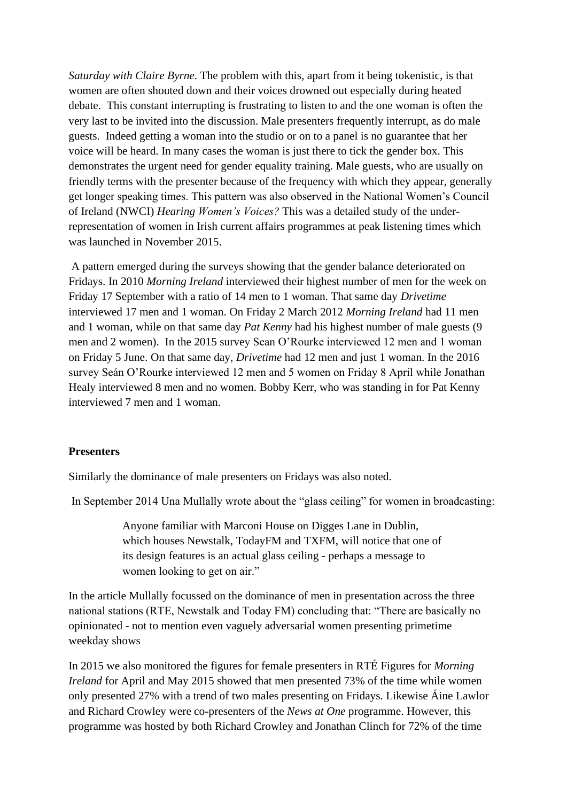*Saturday with Claire Byrne*. The problem with this, apart from it being tokenistic, is that women are often shouted down and their voices drowned out especially during heated debate. This constant interrupting is frustrating to listen to and the one woman is often the very last to be invited into the discussion. Male presenters frequently interrupt, as do male guests. Indeed getting a woman into the studio or on to a panel is no guarantee that her voice will be heard. In many cases the woman is just there to tick the gender box. This demonstrates the urgent need for gender equality training. Male guests, who are usually on friendly terms with the presenter because of the frequency with which they appear, generally get longer speaking times. This pattern was also observed in the National Women's Council of Ireland (NWCI) *Hearing Women's Voices?* This was a detailed study of the underrepresentation of women in Irish current affairs programmes at peak listening times which was launched in November 2015.

A pattern emerged during the surveys showing that the gender balance deteriorated on Fridays. In 2010 *Morning Ireland* interviewed their highest number of men for the week on Friday 17 September with a ratio of 14 men to 1 woman. That same day *Drivetime* interviewed 17 men and 1 woman. On Friday 2 March 2012 *Morning Ireland* had 11 men and 1 woman, while on that same day *Pat Kenny* had his highest number of male guests (9 men and 2 women). In the 2015 survey Sean O'Rourke interviewed 12 men and 1 woman on Friday 5 June. On that same day, *Drivetime* had 12 men and just 1 woman. In the 2016 survey Seán O'Rourke interviewed 12 men and 5 women on Friday 8 April while Jonathan Healy interviewed 8 men and no women. Bobby Kerr, who was standing in for Pat Kenny interviewed 7 men and 1 woman.

#### **Presenters**

Similarly the dominance of male presenters on Fridays was also noted.

In September 2014 Una Mullally wrote about the "glass ceiling" for women in broadcasting:

Anyone familiar with Marconi House on Digges Lane in Dublin, which houses Newstalk, TodayFM and TXFM, will notice that one of its design features is an actual glass ceiling - perhaps a message to women looking to get on air."

In the article Mullally focussed on the dominance of men in presentation across the three national stations (RTE, Newstalk and Today FM) concluding that: "There are basically no opinionated - not to mention even vaguely adversarial women presenting primetime weekday shows

In 2015 we also monitored the figures for female presenters in RTÉ Figures for *Morning Ireland* for April and May 2015 showed that men presented 73% of the time while women only presented 27% with a trend of two males presenting on Fridays. Likewise Áine Lawlor and Richard Crowley were co-presenters of the *News at One* programme. However, this programme was hosted by both Richard Crowley and Jonathan Clinch for 72% of the time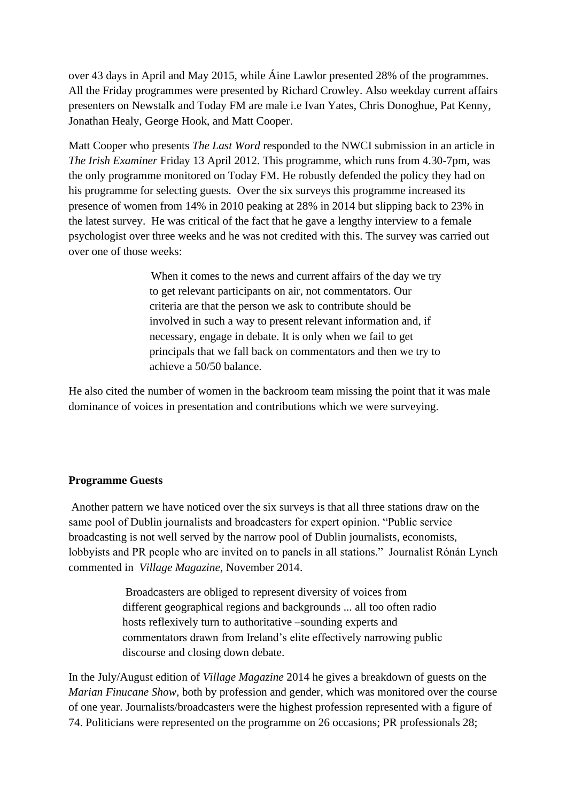over 43 days in April and May 2015, while Áine Lawlor presented 28% of the programmes. All the Friday programmes were presented by Richard Crowley. Also weekday current affairs presenters on Newstalk and Today FM are male i.e Ivan Yates, Chris Donoghue, Pat Kenny, Jonathan Healy, George Hook, and Matt Cooper.

Matt Cooper who presents *The Last Word* responded to the NWCI submission in an article in *The Irish Examiner* Friday 13 April 2012. This programme, which runs from 4.30-7pm, was the only programme monitored on Today FM. He robustly defended the policy they had on his programme for selecting guests. Over the six surveys this programme increased its presence of women from 14% in 2010 peaking at 28% in 2014 but slipping back to 23% in the latest survey. He was critical of the fact that he gave a lengthy interview to a female psychologist over three weeks and he was not credited with this. The survey was carried out over one of those weeks:

> When it comes to the news and current affairs of the day we try to get relevant participants on air, not commentators. Our criteria are that the person we ask to contribute should be involved in such a way to present relevant information and, if necessary, engage in debate. It is only when we fail to get principals that we fall back on commentators and then we try to achieve a 50/50 balance.

He also cited the number of women in the backroom team missing the point that it was male dominance of voices in presentation and contributions which we were surveying.

## **Programme Guests**

Another pattern we have noticed over the six surveys is that all three stations draw on the same pool of Dublin journalists and broadcasters for expert opinion. "Public service broadcasting is not well served by the narrow pool of Dublin journalists, economists, lobbyists and PR people who are invited on to panels in all stations." Journalist Rónán Lynch commented in *Village Magazine*, November 2014.

> Broadcasters are obliged to represent diversity of voices from different geographical regions and backgrounds ... all too often radio hosts reflexively turn to authoritative –sounding experts and commentators drawn from Ireland's elite effectively narrowing public discourse and closing down debate.

In the July/August edition of *Village Magazine* 2014 he gives a breakdown of guests on the *Marian Finucane Show*, both by profession and gender, which was monitored over the course of one year. Journalists/broadcasters were the highest profession represented with a figure of 74. Politicians were represented on the programme on 26 occasions; PR professionals 28;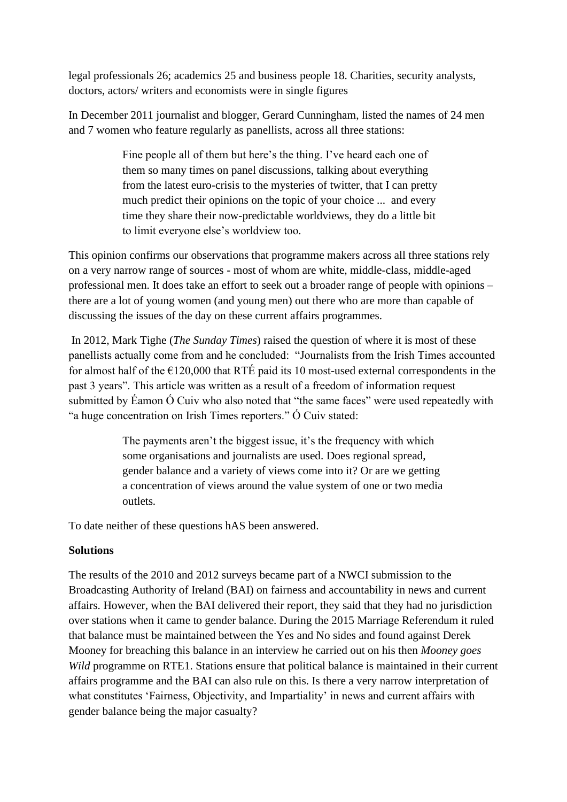legal professionals 26; academics 25 and business people 18. Charities, security analysts, doctors, actors/ writers and economists were in single figures

In December 2011 journalist and blogger, Gerard Cunningham, listed the names of 24 men and 7 women who feature regularly as panellists, across all three stations:

> Fine people all of them but here's the thing. I've heard each one of them so many times on panel discussions, talking about everything from the latest euro-crisis to the mysteries of twitter, that I can pretty much predict their opinions on the topic of your choice ... and every time they share their now-predictable worldviews, they do a little bit to limit everyone else's worldview too*.*

This opinion confirms our observations that programme makers across all three stations rely on a very narrow range of sources - most of whom are white, middle-class, middle-aged professional men. It does take an effort to seek out a broader range of people with opinions – there are a lot of young women (and young men) out there who are more than capable of discussing the issues of the day on these current affairs programmes.

In 2012, Mark Tighe (*The Sunday Times*) raised the question of where it is most of these panellists actually come from and he concluded: "Journalists from the Irish Times accounted for almost half of the  $\epsilon$ 120,000 that RTÉ paid its 10 most-used external correspondents in the past 3 years". This article was written as a result of a freedom of information request submitted by Éamon Ó Cuiv who also noted that "the same faces" were used repeatedly with "a huge concentration on Irish Times reporters." Ó Cuiv stated:

> The payments aren't the biggest issue, it's the frequency with which some organisations and journalists are used. Does regional spread, gender balance and a variety of views come into it? Or are we getting a concentration of views around the value system of one or two media outlets*.*

To date neither of these questions hAS been answered.

# **Solutions**

The results of the 2010 and 2012 surveys became part of a NWCI submission to the Broadcasting Authority of Ireland (BAI) on fairness and accountability in news and current affairs. However, when the BAI delivered their report, they said that they had no jurisdiction over stations when it came to gender balance. During the 2015 Marriage Referendum it ruled that balance must be maintained between the Yes and No sides and found against Derek Mooney for breaching this balance in an interview he carried out on his then *Mooney goes Wild* programme on RTE1. Stations ensure that political balance is maintained in their current affairs programme and the BAI can also rule on this. Is there a very narrow interpretation of what constitutes 'Fairness, Objectivity, and Impartiality' in news and current affairs with gender balance being the major casualty?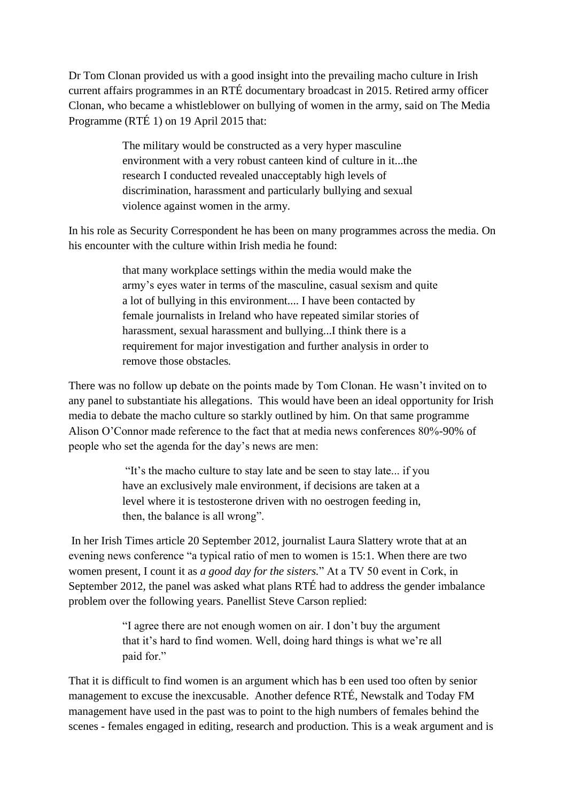Dr Tom Clonan provided us with a good insight into the prevailing macho culture in Irish current affairs programmes in an RTÉ documentary broadcast in 2015. Retired army officer Clonan, who became a whistleblower on bullying of women in the army, said on The Media Programme (RTÉ 1) on 19 April 2015 that:

> The military would be constructed as a very hyper masculine environment with a very robust canteen kind of culture in it...the research I conducted revealed unacceptably high levels of discrimination, harassment and particularly bullying and sexual violence against women in the army*.*

In his role as Security Correspondent he has been on many programmes across the media. On his encounter with the culture within Irish media he found:

> that many workplace settings within the media would make the army's eyes water in terms of the masculine, casual sexism and quite a lot of bullying in this environment.... I have been contacted by female journalists in Ireland who have repeated similar stories of harassment, sexual harassment and bullying...I think there is a requirement for major investigation and further analysis in order to remove those obstacles*.*

There was no follow up debate on the points made by Tom Clonan. He wasn't invited on to any panel to substantiate his allegations. This would have been an ideal opportunity for Irish media to debate the macho culture so starkly outlined by him. On that same programme Alison O'Connor made reference to the fact that at media news conferences 80%-90% of people who set the agenda for the day's news are men:

> "It's the macho culture to stay late and be seen to stay late... if you have an exclusively male environment, if decisions are taken at a level where it is testosterone driven with no oestrogen feeding in, then, the balance is all wrong".

In her Irish Times article 20 September 2012, journalist Laura Slattery wrote that at an evening news conference "a typical ratio of men to women is 15:1. When there are two women present, I count it as *a good day for the sisters.*" At a TV 50 event in Cork, in September 2012, the panel was asked what plans RTÉ had to address the gender imbalance problem over the following years. Panellist Steve Carson replied:

> "I agree there are not enough women on air. I don't buy the argument that it's hard to find women. Well, doing hard things is what we're all paid for."

That it is difficult to find women is an argument which has b een used too often by senior management to excuse the inexcusable. Another defence RTÉ, Newstalk and Today FM management have used in the past was to point to the high numbers of females behind the scenes *-* females engaged in editing, research and production. This is a weak argument and is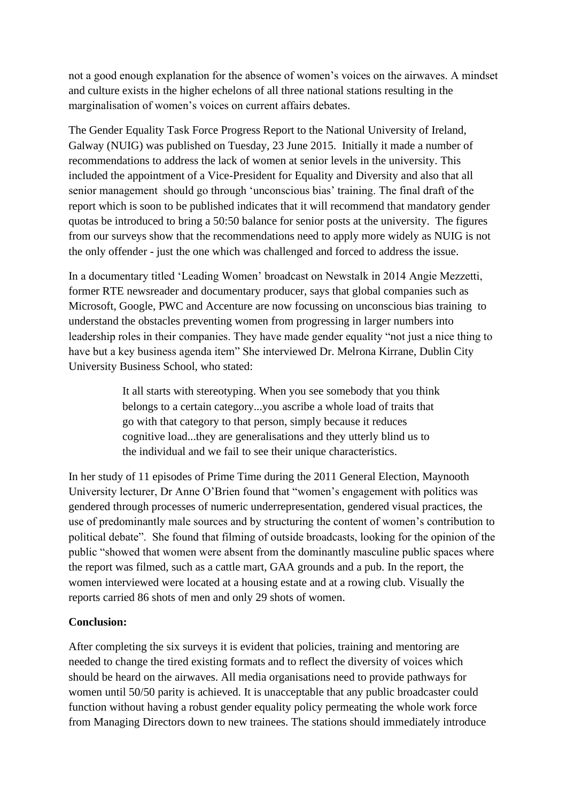not a good enough explanation for the absence of women's voices on the airwaves. A mindset and culture exists in the higher echelons of all three national stations resulting in the marginalisation of women's voices on current affairs debates.

The Gender Equality Task Force Progress Report to the National University of Ireland, Galway (NUIG) was published on Tuesday, 23 June 2015. Initially it made a number of recommendations to address the lack of women at senior levels in the university. This included the appointment of a Vice-President for Equality and Diversity and also that all senior management should go through 'unconscious bias' training. The final draft of the report which is soon to be published indicates that it will recommend that mandatory gender quotas be introduced to bring a 50:50 balance for senior posts at the university. The figures from our surveys show that the recommendations need to apply more widely as NUIG is not the only offender - just the one which was challenged and forced to address the issue.

In a documentary titled 'Leading Women' broadcast on Newstalk in 2014 Angie Mezzetti, former RTE newsreader and documentary producer, says that global companies such as Microsoft, Google, PWC and Accenture are now focussing on unconscious bias training to understand the obstacles preventing women from progressing in larger numbers into leadership roles in their companies. They have made gender equality "not just a nice thing to have but a key business agenda item" She interviewed Dr. Melrona Kirrane, Dublin City University Business School, who stated:

> It all starts with stereotyping. When you see somebody that you think belongs to a certain category...you ascribe a whole load of traits that go with that category to that person, simply because it reduces cognitive load...they are generalisations and they utterly blind us to the individual and we fail to see their unique characteristics.

In her study of 11 episodes of Prime Time during the 2011 General Election, Maynooth University lecturer, Dr Anne O'Brien found that "women's engagement with politics was gendered through processes of numeric underrepresentation, gendered visual practices, the use of predominantly male sources and by structuring the content of women's contribution to political debate". She found that filming of outside broadcasts, looking for the opinion of the public "showed that women were absent from the dominantly masculine public spaces where the report was filmed, such as a cattle mart, GAA grounds and a pub. In the report, the women interviewed were located at a housing estate and at a rowing club. Visually the reports carried 86 shots of men and only 29 shots of women.

## **Conclusion:**

After completing the six surveys it is evident that policies, training and mentoring are needed to change the tired existing formats and to reflect the diversity of voices which should be heard on the airwaves. All media organisations need to provide pathways for women until 50/50 parity is achieved. It is unacceptable that any public broadcaster could function without having a robust gender equality policy permeating the whole work force from Managing Directors down to new trainees. The stations should immediately introduce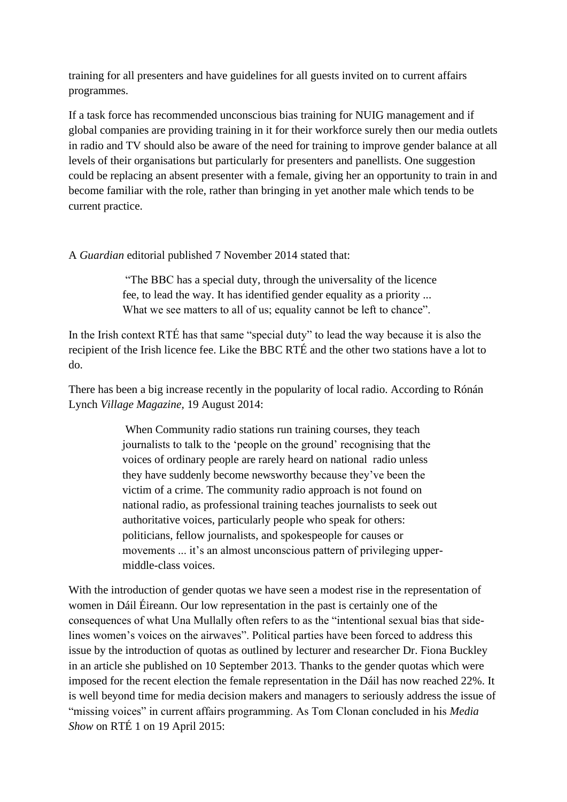training for all presenters and have guidelines for all guests invited on to current affairs programmes.

If a task force has recommended unconscious bias training for NUIG management and if global companies are providing training in it for their workforce surely then our media outlets in radio and TV should also be aware of the need for training to improve gender balance at all levels of their organisations but particularly for presenters and panellists. One suggestion could be replacing an absent presenter with a female, giving her an opportunity to train in and become familiar with the role, rather than bringing in yet another male which tends to be current practice.

#### A *Guardian* editorial published 7 November 2014 stated that:

"The BBC has a special duty, through the universality of the licence fee, to lead the way. It has identified gender equality as a priority ... What we see matters to all of us; equality cannot be left to chance".

In the Irish context RTÉ has that same "special duty" to lead the way because it is also the recipient of the Irish licence fee. Like the BBC RTÉ and the other two stations have a lot to do.

There has been a big increase recently in the popularity of local radio. According to Rónán Lynch *Village Magazine,* 19 August 2014:

> When Community radio stations run training courses, they teach journalists to talk to the 'people on the ground' recognising that the voices of ordinary people are rarely heard on national radio unless they have suddenly become newsworthy because they've been the victim of a crime. The community radio approach is not found on national radio, as professional training teaches journalists to seek out authoritative voices, particularly people who speak for others: politicians, fellow journalists, and spokespeople for causes or movements ... it's an almost unconscious pattern of privileging uppermiddle*-*class voices.

With the introduction of gender quotas we have seen a modest rise in the representation of women in Dáil Éireann. Our low representation in the past is certainly one of the consequences of what Una Mullally often refers to as the "intentional sexual bias that sidelines women's voices on the airwaves". Political parties have been forced to address this issue by the introduction of quotas as outlined by lecturer and researcher Dr. Fiona Buckley in an article she published on 10 September 2013. Thanks to the gender quotas which were imposed for the recent election the female representation in the Dáil has now reached 22%. It is well beyond time for media decision makers and managers to seriously address the issue of "missing voices" in current affairs programming. As Tom Clonan concluded in his *Media Show* on RTÉ 1 on 19 April 2015: